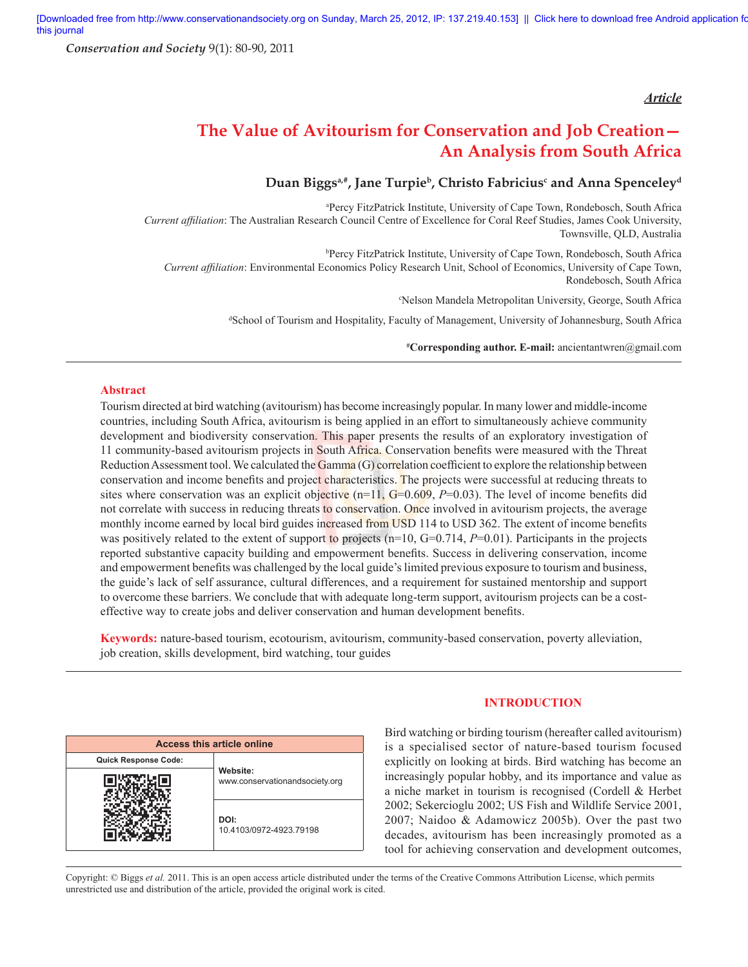*Conservation and Society* 9(1): 80-90, 2011

## *Article*

# **The Value of Avitourism for Conservation and Job Creation— An Analysis from South Africa**

# Duan Biggs<sup>a,#</sup>, Jane Turpie<sup>b</sup>, Christo Fabricius<sup>c</sup> and Anna Spenceley<sup>d</sup>

a Percy FitzPatrick Institute, University of Cape Town, Rondebosch, South Africa *Current affiliation*: The Australian Research Council Centre of Excellence for Coral Reef Studies, James Cook University, Townsville, QLD, Australia

b Percy FitzPatrick Institute, University of Cape Town, Rondebosch, South Africa *Current affi liation*: Environmental Economics Policy Research Unit, School of Economics, University of Cape Town, Rondebosch, South Africa

c Nelson Mandela Metropolitan University, George, South Africa

d School of Tourism and Hospitality, Faculty of Management, University of Johannesburg, South Africa

**# Corresponding author. E-mail:** ancientantwren@gmail.com

## **Abstract**

Tourism directed at bird watching (avitourism) has become increasingly popular. In many lower and middle-income countries, including South Africa, avitourism is being applied in an effort to simultaneously achieve community development and biodiversity conservation. This paper presents the results of an exploratory investigation of 11 community-based avitourism projects in South Africa. Conservation benefits were measured with the Threat Reduction Assessment tool. We calculated the Gamma  $(G)$  correlation coefficient to explore the relationship between conservation and income benefits and project characteristics. The projects were successful at reducing threats to sites where conservation was an explicit objective  $(n=11, G=0.609, P=0.03)$ . The level of income benefits did not correlate with success in reducing threats to conservation. Once involved in avitourism projects, the average monthly income earned by local bird guides increased from USD 114 to USD 362. The extent of income benefits was positively related to the extent of support to projects (n=10, G=0.714, P=0.01). Participants in the projects reported substantive capacity building and empowerment benefits. Success in delivering conservation, income and empowerment benefits was challenged by the local guide's limited previous exposure to tourism and business, the guide's lack of self assurance, cultural differences, and a requirement for sustained mentorship and support to overcome these barriers. We conclude that with adequate long-term support, avitourism projects can be a costeffective way to create jobs and deliver conservation and human development benefits.

**Keywords:** nature-based tourism, ecotourism, avitourism, community-based conservation, poverty alleviation, job creation, skills development, bird watching, tour guides

| <b>Access this article online</b> |                                            |  |  |  |  |  |
|-----------------------------------|--------------------------------------------|--|--|--|--|--|
| <b>Quick Response Code:</b>       | Website:<br>www.conservationandsociety.org |  |  |  |  |  |
|                                   |                                            |  |  |  |  |  |
|                                   | DOI:<br>10.4103/0972-4923.79198            |  |  |  |  |  |

## **INTRODUCTION**

Bird watching or birding tourism (hereafter called avitourism) is a specialised sector of nature-based tourism focused explicitly on looking at birds. Bird watching has become an increasingly popular hobby, and its importance and value as a niche market in tourism is recognised (Cordell & Herbet 2002; Sekercioglu 2002; US Fish and Wildlife Service 2001, 2007; Naidoo & Adamowicz 2005b). Over the past two decades, avitourism has been increasingly promoted as a tool for achieving conservation and development outcomes,

Copyright: © Biggs *et al.* 2011. This is an open access article distributed under the terms of the Creative Commons Attribution License, which permits unrestricted use and distribution of the article, provided the original work is cited.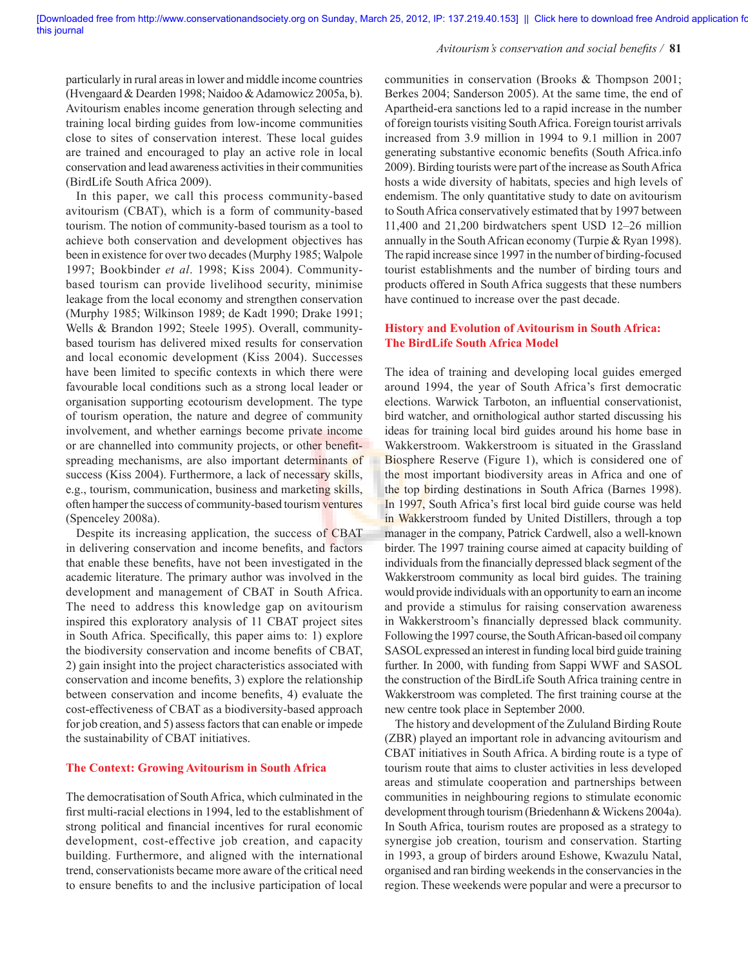#### Avitourism's conservation and social benefits / 81

particularly in rural areas in lower and middle income countries (Hvengaard & Dearden 1998; Naidoo & Adamowicz 2005a, b). Avitourism enables income generation through selecting and training local birding guides from low-income communities close to sites of conservation interest. These local guides are trained and encouraged to play an active role in local conservation and lead awareness activities in their communities (BirdLife South Africa 2009).

In this paper, we call this process community-based avitourism (CBAT), which is a form of community-based tourism. The notion of community-based tourism as a tool to achieve both conservation and development objectives has been in existence for over two decades (Murphy 1985; Walpole 1997; Bookbinder *et al*. 1998; Kiss 2004). Communitybased tourism can provide livelihood security, minimise leakage from the local economy and strengthen conservation (Murphy 1985; Wilkinson 1989; de Kadt 1990; Drake 1991; Wells & Brandon 1992; Steele 1995). Overall, communitybased tourism has delivered mixed results for conservation and local economic development (Kiss 2004). Successes have been limited to specific contexts in which there were favourable local conditions such as a strong local leader or organisation supporting ecotourism development. The type of tourism operation, the nature and degree of community involvement, and whether earnings become private income or are channelled into community projects, or other benefitspreading mechanisms, are also important determinants of success (Kiss 2004). Furthermore, a lack of necessary skills, e.g., tourism, communication, business and marketing skills, often hamper the success of community-based tourism ventures (Spenceley 2008a).

Despite its increasing application, the success of CBAT in delivering conservation and income benefits, and factors that enable these benefits, have not been investigated in the academic literature. The primary author was involved in the development and management of CBAT in South Africa. The need to address this knowledge gap on avitourism inspired this exploratory analysis of 11 CBAT project sites in South Africa. Specifically, this paper aims to: 1) explore the biodiversity conservation and income benefits of CBAT, 2) gain insight into the project characteristics associated with conservation and income benefits, 3) explore the relationship between conservation and income benefits, 4) evaluate the cost-effectiveness of CBAT as a biodiversity-based approach for job creation, and 5) assess factors that can enable or impede the sustainability of CBAT initiatives.

## **The Context: Growing Avitourism in South Africa**

The democratisation of South Africa, which culminated in the first multi-racial elections in 1994, led to the establishment of strong political and financial incentives for rural economic development, cost-effective job creation, and capacity building. Furthermore, and aligned with the international trend, conservationists became more aware of the critical need to ensure benefits to and the inclusive participation of local communities in conservation (Brooks & Thompson 2001; Berkes 2004; Sanderson 2005). At the same time, the end of Apartheid-era sanctions led to a rapid increase in the number of foreign tourists visiting South Africa. Foreign tourist arrivals increased from 3.9 million in 1994 to 9.1 million in 2007 generating substantive economic benefits (South Africa.info 2009). Birding tourists were part of the increase as South Africa hosts a wide diversity of habitats, species and high levels of endemism. The only quantitative study to date on avitourism to South Africa conservatively estimated that by 1997 between 11,400 and 21,200 birdwatchers spent USD 12–26 million annually in the South African economy (Turpie & Ryan 1998). The rapid increase since 1997 in the number of birding-focused tourist establishments and the number of birding tours and products offered in South Africa suggests that these numbers have continued to increase over the past decade.

## **History and Evolution of Avitourism in South Africa: The BirdLife South Africa Model**

The idea of training and developing local guides emerged around 1994, the year of South Africa's first democratic elections. Warwick Tarboton, an influential conservationist, bird watcher, and ornithological author started discussing his ideas for training local bird guides around his home base in Wakkerstroom. Wakkerstroom is situated in the Grassland Biosphere Reserve (Figure 1), which is considered one of the most important biodiversity areas in Africa and one of the top birding destinations in South Africa (Barnes 1998). In 1997, South Africa's first local bird guide course was held in Wakkerstroom funded by United Distillers, through a top manager in the company, Patrick Cardwell, also a well-known birder. The 1997 training course aimed at capacity building of individuals from the financially depressed black segment of the Wakkerstroom community as local bird guides. The training would provide individuals with an opportunity to earn an income and provide a stimulus for raising conservation awareness in Wakkerstroom's financially depressed black community. Following the 1997 course, the South African-based oil company SASOL expressed an interest in funding local bird guide training further. In 2000, with funding from Sappi WWF and SASOL the construction of the BirdLife South Africa training centre in Wakkerstroom was completed. The first training course at the new centre took place in September 2000.

The history and development of the Zululand Birding Route (ZBR) played an important role in advancing avitourism and CBAT initiatives in South Africa. A birding route is a type of tourism route that aims to cluster activities in less developed areas and stimulate cooperation and partnerships between communities in neighbouring regions to stimulate economic development through tourism (Briedenhann & Wickens 2004a). In South Africa, tourism routes are proposed as a strategy to synergise job creation, tourism and conservation. Starting in 1993, a group of birders around Eshowe, Kwazulu Natal, organised and ran birding weekends in the conservancies in the region. These weekends were popular and were a precursor to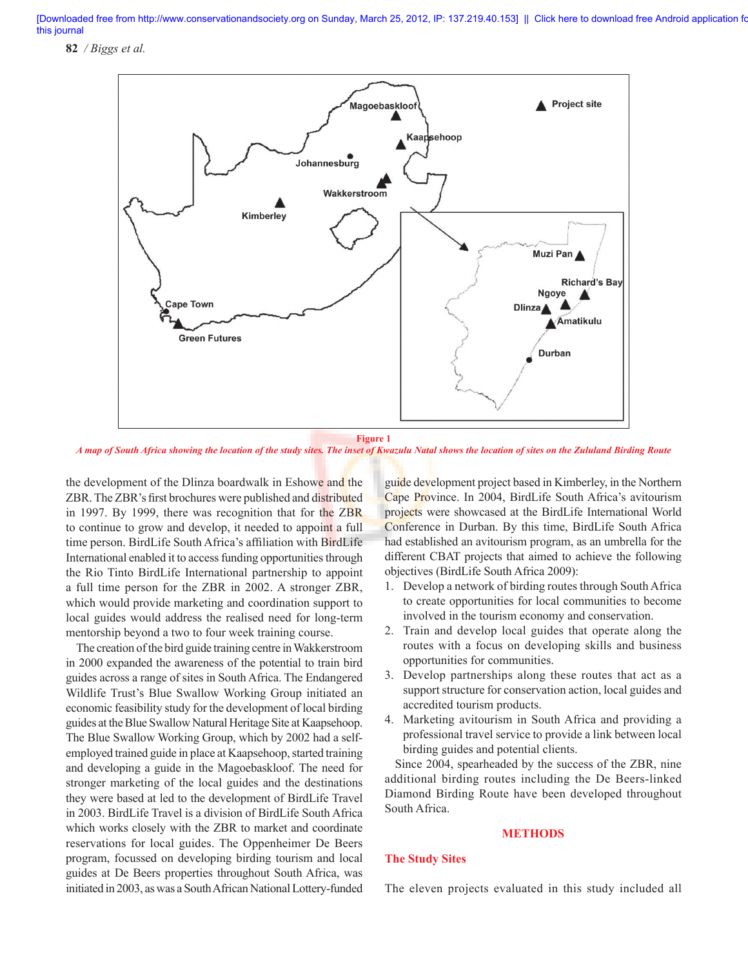**82** */ Biggs et al.*



**Figure 1**

*A map of South Africa showing the location of the study sites. The inset of Kwazulu Natal shows the location of sites on the Zululand Birding Route*

the development of the Dlinza boardwalk in Eshowe and the ZBR. The ZBR's first brochures were published and distributed in 1997. By 1999, there was recognition that for the ZBR to continue to grow and develop, it needed to appoint a full time person. BirdLife South Africa's affiliation with BirdLife International enabled it to access funding opportunities through the Rio Tinto BirdLife International partnership to appoint a full time person for the ZBR in 2002. A stronger ZBR, which would provide marketing and coordination support to local guides would address the realised need for long-term mentorship beyond a two to four week training course.

The creation of the bird guide training centre in Wakkerstroom in 2000 expanded the awareness of the potential to train bird guides across a range of sites in South Africa. The Endangered Wildlife Trust's Blue Swallow Working Group initiated an economic feasibility study for the development of local birding guides at the Blue Swallow Natural Heritage Site at Kaapsehoop. The Blue Swallow Working Group, which by 2002 had a selfemployed trained guide in place at Kaapsehoop, started training and developing a guide in the Magoebaskloof. The need for stronger marketing of the local guides and the destinations they were based at led to the development of BirdLife Travel in 2003. BirdLife Travel is a division of BirdLife South Africa which works closely with the ZBR to market and coordinate reservations for local guides. The Oppenheimer De Beers program, focussed on developing birding tourism and local guides at De Beers properties throughout South Africa, was initiated in 2003, as was a South African National Lottery-funded guide development project based in Kimberley, in the Northern Cape Province. In 2004, BirdLife South Africa's avitourism projects were showcased at the BirdLife International World Conference in Durban. By this time, BirdLife South Africa had established an avitourism program, as an umbrella for the different CBAT projects that aimed to achieve the following objectives (BirdLife South Africa 2009):

- 1. Develop a network of birding routes through South Africa to create opportunities for local communities to become involved in the tourism economy and conservation.
- 2. Train and develop local guides that operate along the routes with a focus on developing skills and business opportunities for communities.
- 3. Develop partnerships along these routes that act as a support structure for conservation action, local guides and accredited tourism products.
- 4. Marketing avitourism in South Africa and providing a professional travel service to provide a link between local birding guides and potential clients.

Since 2004, spearheaded by the success of the ZBR, nine additional birding routes including the De Beers-linked Diamond Birding Route have been developed throughout South Africa.

#### **METHODS**

## **The Study Sites**

The eleven projects evaluated in this study included all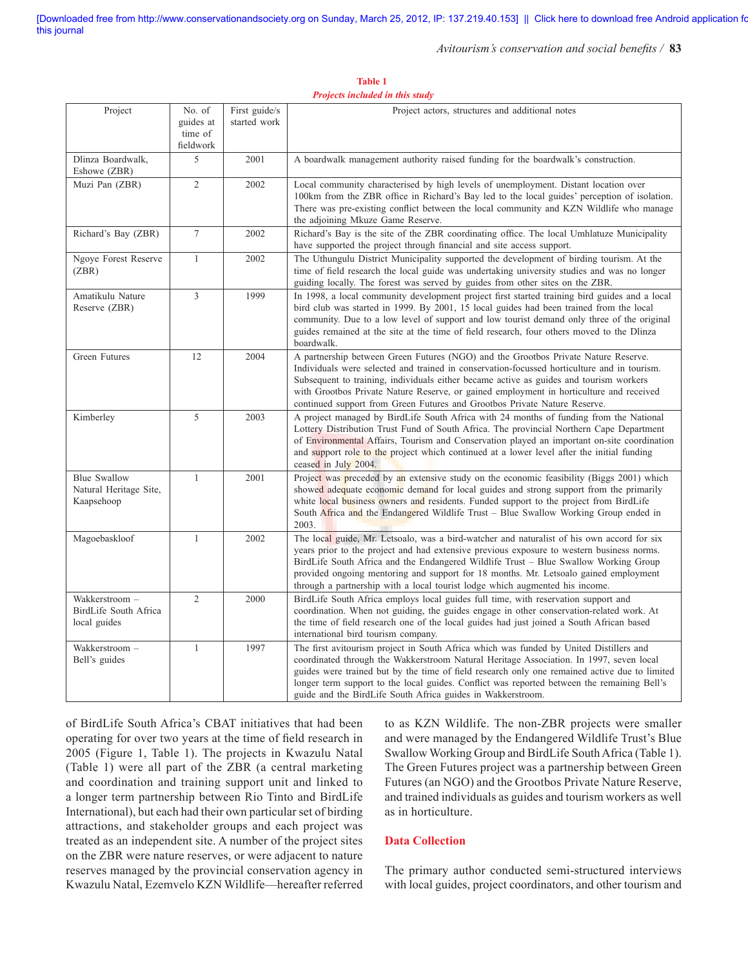#### Avitourism's conservation and social benefits / 83

Project actors, structures and additional notes

|                                                             | guides at<br>time of<br>fieldwork | started work |                                                                                                                                                                                                                                                                                                                                                                                                                                                         |
|-------------------------------------------------------------|-----------------------------------|--------------|---------------------------------------------------------------------------------------------------------------------------------------------------------------------------------------------------------------------------------------------------------------------------------------------------------------------------------------------------------------------------------------------------------------------------------------------------------|
| Dlinza Boardwalk,<br>Eshowe (ZBR)                           | 5                                 | 2001         | A boardwalk management authority raised funding for the boardwalk's construction.                                                                                                                                                                                                                                                                                                                                                                       |
| Muzi Pan (ZBR)                                              | $\overline{2}$                    | 2002         | Local community characterised by high levels of unemployment. Distant location over<br>100km from the ZBR office in Richard's Bay led to the local guides' perception of isolation.<br>There was pre-existing conflict between the local community and KZN Wildlife who manage<br>the adjoining Mkuze Game Reserve.                                                                                                                                     |
| Richard's Bay (ZBR)                                         | $\overline{7}$                    | 2002         | Richard's Bay is the site of the ZBR coordinating office. The local Umhlatuze Municipality<br>have supported the project through financial and site access support.                                                                                                                                                                                                                                                                                     |
| Ngoye Forest Reserve<br>(ZBR)                               | $\mathbf{1}$                      | 2002         | The Uthungulu District Municipality supported the development of birding tourism. At the<br>time of field research the local guide was undertaking university studies and was no longer<br>guiding locally. The forest was served by guides from other sites on the ZBR.                                                                                                                                                                                |
| Amatikulu Nature<br>Reserve (ZBR)                           | 3                                 | 1999         | In 1998, a local community development project first started training bird guides and a local<br>bird club was started in 1999. By 2001, 15 local guides had been trained from the local<br>community. Due to a low level of support and low tourist demand only three of the original<br>guides remained at the site at the time of field research, four others moved to the Dlinza<br>boardwalk.                                                      |
| Green Futures                                               | 12                                | 2004         | A partnership between Green Futures (NGO) and the Grootbos Private Nature Reserve.<br>Individuals were selected and trained in conservation-focussed horticulture and in tourism.<br>Subsequent to training, individuals either became active as guides and tourism workers<br>with Grootbos Private Nature Reserve, or gained employment in horticulture and received<br>continued support from Green Futures and Grootbos Private Nature Reserve.     |
| Kimberley                                                   | 5                                 | 2003         | A project managed by BirdLife South Africa with 24 months of funding from the National<br>Lottery Distribution Trust Fund of South Africa. The provincial Northern Cape Department<br>of Environmental Affairs, Tourism and Conservation played an important on-site coordination<br>and support role to the project which continued at a lower level after the initial funding<br>ceased in July 2004.                                                 |
| <b>Blue Swallow</b><br>Natural Heritage Site,<br>Kaapsehoop | $\mathbf{1}$                      | 2001         | Project was preceded by an extensive study on the economic feasibility (Biggs 2001) which<br>showed adequate economic demand for local guides and strong support from the primarily<br>white local business owners and residents. Funded support to the project from BirdLife<br>South Africa and the Endangered Wildlife Trust - Blue Swallow Working Group ended in<br>2003.                                                                          |
| Magoebaskloof                                               | $\mathbf{1}$                      | 2002         | The local guide, Mr. Letsoalo, was a bird-watcher and naturalist of his own accord for six<br>years prior to the project and had extensive previous exposure to western business norms.<br>BirdLife South Africa and the Endangered Wildlife Trust – Blue Swallow Working Group<br>provided ongoing mentoring and support for 18 months. Mr. Letsoalo gained employment<br>through a partnership with a local tourist lodge which augmented his income. |
| Wakkerstroom -<br>BirdLife South Africa<br>local guides     | $\overline{2}$                    | 2000         | BirdLife South Africa employs local guides full time, with reservation support and<br>coordination. When not guiding, the guides engage in other conservation-related work. At<br>the time of field research one of the local guides had just joined a South African based<br>international bird tourism company.                                                                                                                                       |
| Wakkerstroom -<br>Bell's guides                             | $\mathbf{1}$                      | 1997         | The first avitourism project in South Africa which was funded by United Distillers and<br>coordinated through the Wakkerstroom Natural Heritage Association. In 1997, seven local                                                                                                                                                                                                                                                                       |

**Table 1**  *Projects included in this study*

of BirdLife South Africa's CBAT initiatives that had been operating for over two years at the time of field research in 2005 (Figure 1, Table 1). The projects in Kwazulu Natal (Table 1) were all part of the ZBR (a central marketing and coordination and training support unit and linked to a longer term partnership between Rio Tinto and BirdLife International), but each had their own particular set of birding attractions, and stakeholder groups and each project was treated as an independent site. A number of the project sites on the ZBR were nature reserves, or were adjacent to nature reserves managed by the provincial conservation agency in Kwazulu Natal, Ezemvelo KZN Wildlife—hereafter referred

Project No. of

First guide/s

to as KZN Wildlife. The non-ZBR projects were smaller and were managed by the Endangered Wildlife Trust's Blue Swallow Working Group and BirdLife South Africa (Table 1). The Green Futures project was a partnership between Green Futures (an NGO) and the Grootbos Private Nature Reserve, and trained individuals as guides and tourism workers as well as in horticulture.

guides were trained but by the time of field research only one remained active due to limited longer term support to the local guides. Conflict was reported between the remaining Bell's

## **Data Collection**

guide and the BirdLife South Africa guides in Wakkerstroom.

The primary author conducted semi-structured interviews with local guides, project coordinators, and other tourism and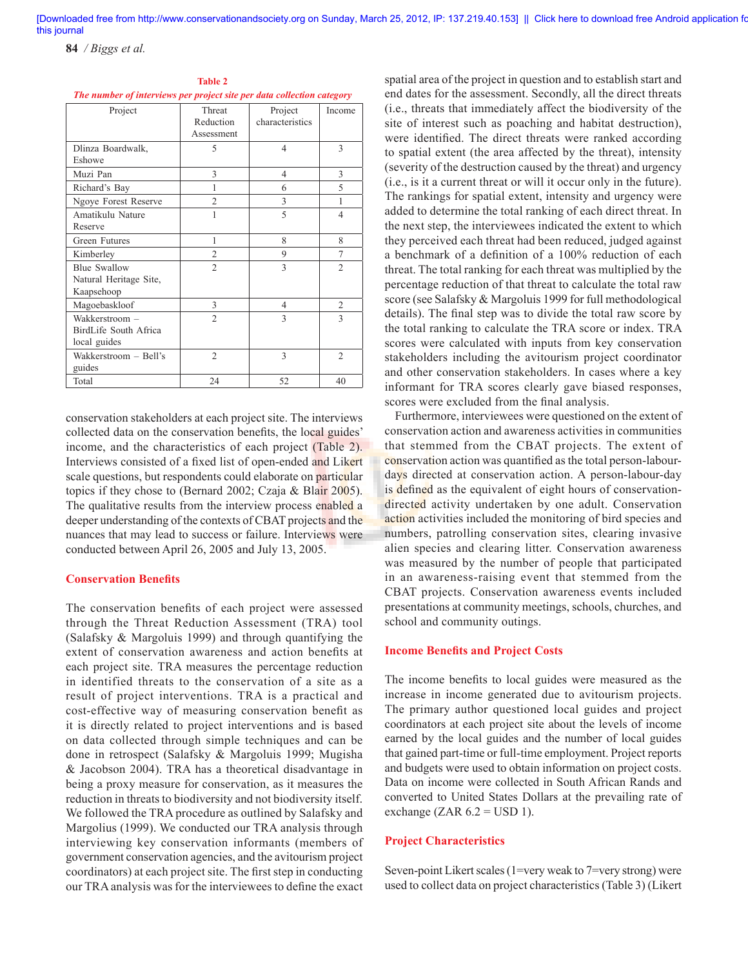**84** */ Biggs et al.*

| Project                | Threat         | Project         | Income         |
|------------------------|----------------|-----------------|----------------|
|                        | Reduction      | characteristics |                |
|                        | Assessment     |                 |                |
| Dlinza Boardwalk,      | 5              | $\overline{4}$  | 3              |
| Eshowe                 |                |                 |                |
| Muzi Pan               | 3              | $\overline{4}$  | 3              |
| Richard's Bay          | 1              | 6               | 5              |
| Ngoye Forest Reserve   | $\overline{2}$ | 3               | 1              |
| Amatikulu Nature       |                | 5               | $\overline{4}$ |
| Reserve                |                |                 |                |
| Green Futures          | 1              | 8               | 8              |
| Kimberley              | $\overline{2}$ | 9               | 7              |
| <b>Blue Swallow</b>    | $\overline{c}$ | 3               | $\overline{2}$ |
| Natural Heritage Site, |                |                 |                |
| Kaapsehoop             |                |                 |                |
| Magoebaskloof          | 3              | $\overline{4}$  | $\overline{2}$ |
| Wakkerstroom -         | $\overline{2}$ | 3               | 3              |
| BirdLife South Africa  |                |                 |                |
| local guides           |                |                 |                |
| Wakkerstroom - Bell's  | $\overline{2}$ | 3               | $\overline{2}$ |
| guides                 |                |                 |                |
| Total                  | 24             | 52              | 40             |

| <b>Table 2</b>                                                         |  |  |  |  |  |  |  |  |
|------------------------------------------------------------------------|--|--|--|--|--|--|--|--|
| The number of interviews per project site per data collection category |  |  |  |  |  |  |  |  |

conservation stakeholders at each project site. The interviews collected data on the conservation benefits, the local guides' income, and the characteristics of each project (Table 2). Interviews consisted of a fixed list of open-ended and Likert scale questions, but respondents could elaborate on particular topics if they chose to (Bernard 2002; Czaja & Blair 2005). The qualitative results from the interview process enabled a deeper understanding of the contexts of CBAT projects and the nuances that may lead to success or failure. Interviews were conducted between April 26, 2005 and July 13, 2005.

#### **Conservation Benefits**

The conservation benefits of each project were assessed through the Threat Reduction Assessment (TRA) tool (Salafsky & Margoluis 1999) and through quantifying the extent of conservation awareness and action benefits at each project site. TRA measures the percentage reduction in identified threats to the conservation of a site as a result of project interventions. TRA is a practical and cost-effective way of measuring conservation benefit as it is directly related to project interventions and is based on data collected through simple techniques and can be done in retrospect (Salafsky & Margoluis 1999; Mugisha & Jacobson 2004). TRA has a theoretical disadvantage in being a proxy measure for conservation, as it measures the reduction in threats to biodiversity and not biodiversity itself. We followed the TRA procedure as outlined by Salafsky and Margolius (1999). We conducted our TRA analysis through interviewing key conservation informants (members of government conservation agencies, and the avitourism project coordinators) at each project site. The first step in conducting our TRA analysis was for the interviewees to define the exact

spatial area of the project in question and to establish start and end dates for the assessment. Secondly, all the direct threats (i.e., threats that immediately affect the biodiversity of the site of interest such as poaching and habitat destruction), were identified. The direct threats were ranked according to spatial extent (the area affected by the threat), intensity (severity of the destruction caused by the threat) and urgency (i.e., is it a current threat or will it occur only in the future). The rankings for spatial extent, intensity and urgency were added to determine the total ranking of each direct threat. In the next step, the interviewees indicated the extent to which they perceived each threat had been reduced, judged against a benchmark of a definition of a 100% reduction of each threat. The total ranking for each threat was multiplied by the percentage reduction of that threat to calculate the total raw score (see Salafsky & Margoluis 1999 for full methodological details). The final step was to divide the total raw score by the total ranking to calculate the TRA score or index. TRA scores were calculated with inputs from key conservation stakeholders including the avitourism project coordinator and other conservation stakeholders. In cases where a key informant for TRA scores clearly gave biased responses, scores were excluded from the final analysis.

Furthermore, interviewees were questioned on the extent of conservation action and awareness activities in communities that stemmed from the CBAT projects. The extent of conservation action was quantified as the total person-labourdays directed at conservation action. A person-labour-day is defined as the equivalent of eight hours of conservationdirected activity undertaken by one adult. Conservation action activities included the monitoring of bird species and numbers, patrolling conservation sites, clearing invasive alien species and clearing litter. Conservation awareness was measured by the number of people that participated in an awareness-raising event that stemmed from the CBAT projects. Conservation awareness events included presentations at community meetings, schools, churches, and school and community outings.

#### **Income Benefits and Project Costs**

The income benefits to local guides were measured as the increase in income generated due to avitourism projects. The primary author questioned local guides and project coordinators at each project site about the levels of income earned by the local guides and the number of local guides that gained part-time or full-time employment. Project reports and budgets were used to obtain information on project costs. Data on income were collected in South African Rands and converted to United States Dollars at the prevailing rate of exchange (ZAR  $6.2 =$  USD 1).

## **Project Characteristics**

Seven-point Likert scales (1=very weak to 7=very strong) were used to collect data on project characteristics (Table 3) (Likert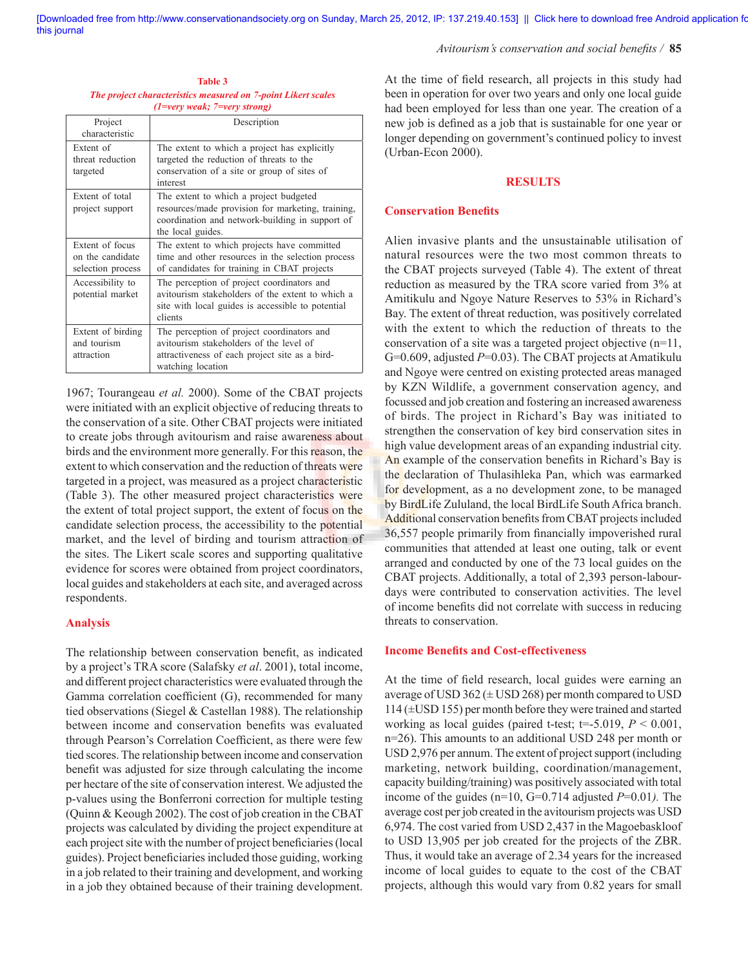#### Avitourism's conservation and social benefits / 85

| <b>Table 3</b>                                                |  |  |  |  |  |  |
|---------------------------------------------------------------|--|--|--|--|--|--|
| The project characteristics measured on 7-point Likert scales |  |  |  |  |  |  |
| $(1=very weak; 7=very strong)$                                |  |  |  |  |  |  |

| Project<br>characteristic                                | Description                                                                                                                                                         |
|----------------------------------------------------------|---------------------------------------------------------------------------------------------------------------------------------------------------------------------|
| Extent of<br>threat reduction<br>targeted                | The extent to which a project has explicitly<br>targeted the reduction of threats to the<br>conservation of a site or group of sites of<br>interest                 |
| Extent of total<br>project support                       | The extent to which a project budgeted<br>resources/made provision for marketing, training,<br>coordination and network-building in support of<br>the local guides. |
| Extent of focus<br>on the candidate<br>selection process | The extent to which projects have committed<br>time and other resources in the selection process<br>of candidates for training in CBAT projects                     |
| Accessibility to<br>potential market                     | The perception of project coordinators and<br>avitourism stakeholders of the extent to which a<br>site with local guides is accessible to potential<br>clients      |
| Extent of birding<br>and tourism<br>attraction           | The perception of project coordinators and<br>avitourism stakeholders of the level of<br>attractiveness of each project site as a bird-<br>watching location        |

1967; Tourangeau *et al.* 2000). Some of the CBAT projects were initiated with an explicit objective of reducing threats to the conservation of a site. Other CBAT projects were initiated to create jobs through avitourism and raise awareness about birds and the environment more generally. For this reason, the extent to which conservation and the reduction of threats were targeted in a project, was measured as a project characteristic (Table 3). The other measured project characteristics were the extent of total project support, the extent of focus on the candidate selection process, the accessibility to the potential market, and the level of birding and tourism attraction of the sites. The Likert scale scores and supporting qualitative evidence for scores were obtained from project coordinators, local guides and stakeholders at each site, and averaged across respondents.

## **Analysis**

The relationship between conservation benefit, as indicated by a project's TRA score (Salafsky *et al*. 2001), total income, and different project characteristics were evaluated through the Gamma correlation coefficient  $(G)$ , recommended for many tied observations (Siegel & Castellan 1988). The relationship between income and conservation benefits was evaluated through Pearson's Correlation Coefficient, as there were few tied scores. The relationship between income and conservation benefit was adjusted for size through calculating the income per hectare of the site of conservation interest. We adjusted the p-values using the Bonferroni correction for multiple testing (Quinn & Keough 2002). The cost of job creation in the CBAT projects was calculated by dividing the project expenditure at each project site with the number of project beneficiaries (local guides). Project beneficiaries included those guiding, working in a job related to their training and development, and working in a job they obtained because of their training development.

At the time of field research, all projects in this study had been in operation for over two years and only one local guide had been employed for less than one year. The creation of a new job is defined as a job that is sustainable for one year or longer depending on government's continued policy to invest (Urban-Econ 2000).

## **RESULTS**

## **Conservation Benefits**

Alien invasive plants and the unsustainable utilisation of natural resources were the two most common threats to the CBAT projects surveyed (Table 4). The extent of threat reduction as measured by the TRA score varied from 3% at Amitikulu and Ngoye Nature Reserves to 53% in Richard's Bay. The extent of threat reduction, was positively correlated with the extent to which the reduction of threats to the conservation of a site was a targeted project objective (n=11, G=0.609, adjusted *P*=0.03). The CBAT projects at Amatikulu and Ngoye were centred on existing protected areas managed by KZN Wildlife, a government conservation agency, and focussed and job creation and fostering an increased awareness of birds. The project in Richard's Bay was initiated to strengthen the conservation of key bird conservation sites in high value development areas of an expanding industrial city. An example of the conservation benefits in Richard's Bay is the declaration of Thulasihleka Pan, which was earmarked for development, as a no development zone, to be managed by BirdLife Zululand, the local BirdLife South Africa branch. Additional conservation benefits from CBAT projects included 36,557 people primarily from financially impoverished rural communities that attended at least one outing, talk or event arranged and conducted by one of the 73 local guides on the CBAT projects. Additionally, a total of 2,393 person-labourdays were contributed to conservation activities. The level of income benefits did not correlate with success in reducing threats to conservation.

#### **Income Benefits and Cost-effectiveness**

At the time of field research, local guides were earning an average of USD  $362 \times$  USD 268) per month compared to USD 114 (±USD 155) per month before they were trained and started working as local guides (paired t-test;  $t=$ -5.019,  $P < 0.001$ , n=26). This amounts to an additional USD 248 per month or USD 2,976 per annum. The extent of project support (including marketing, network building, coordination/management, capacity building/training) was positively associated with total income of the guides (n=10, G=0.714 adjusted *P*=0.01*).* The average cost per job created in the avitourism projects was USD 6,974. The cost varied from USD 2,437 in the Magoebaskloof to USD 13,905 per job created for the projects of the ZBR. Thus, it would take an average of 2.34 years for the increased income of local guides to equate to the cost of the CBAT projects, although this would vary from 0.82 years for small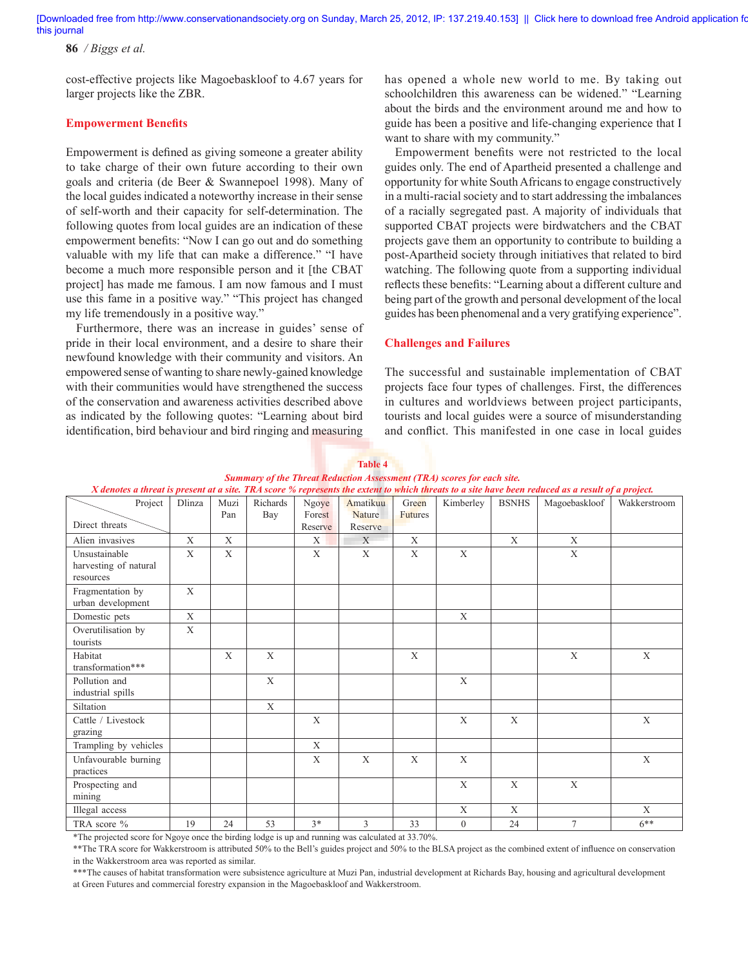**86** */ Biggs et al.*

cost-effective projects like Magoebaskloof to 4.67 years for larger projects like the ZBR.

### **Empowerment Benefits**

Empowerment is defined as giving someone a greater ability to take charge of their own future according to their own goals and criteria (de Beer & Swannepoel 1998). Many of the local guides indicated a noteworthy increase in their sense of self-worth and their capacity for self-determination. The following quotes from local guides are an indication of these empowerment benefits: "Now I can go out and do something valuable with my life that can make a difference." "I have become a much more responsible person and it [the CBAT project] has made me famous. I am now famous and I must use this fame in a positive way." "This project has changed my life tremendously in a positive way."

Furthermore, there was an increase in guides' sense of pride in their local environment, and a desire to share their newfound knowledge with their community and visitors. An empowered sense of wanting to share newly-gained knowledge with their communities would have strengthened the success of the conservation and awareness activities described above as indicated by the following quotes: "Learning about bird identification, bird behaviour and bird ringing and measuring

has opened a whole new world to me. By taking out schoolchildren this awareness can be widened." "Learning about the birds and the environment around me and how to guide has been a positive and life-changing experience that I want to share with my community."

Empowerment benefits were not restricted to the local guides only. The end of Apartheid presented a challenge and opportunity for white South Africans to engage constructively in a multi-racial society and to start addressing the imbalances of a racially segregated past. A majority of individuals that supported CBAT projects were birdwatchers and the CBAT projects gave them an opportunity to contribute to building a post-Apartheid society through initiatives that related to bird watching. The following quote from a supporting individual reflects these benefits: "Learning about a different culture and being part of the growth and personal development of the local guides has been phenomenal and a very gratifying experience".

#### **Challenges and Failures**

The successful and sustainable implementation of CBAT projects face four types of challenges. First, the differences in cultures and worldviews between project participants, tourists and local guides were a source of misunderstanding and conflict. This manifested in one case in local guides

| Summary of the Threat Keauction Assessment (TKA) scores for each sue.<br>X denotes a threat is present at a site. TRA score % represents the extent to which threats to a site have been reduced as a result of a project. |              |              |                 |                            |                                      |                         |                |              |                |              |
|----------------------------------------------------------------------------------------------------------------------------------------------------------------------------------------------------------------------------|--------------|--------------|-----------------|----------------------------|--------------------------------------|-------------------------|----------------|--------------|----------------|--------------|
| Project<br>Direct threats                                                                                                                                                                                                  | Dlinza       | Muzi<br>Pan  | Richards<br>Bay | Ngoye<br>Forest<br>Reserve | Amatikuu<br><b>Nature</b><br>Reserve | Green<br><b>Futures</b> | Kimberley      | <b>BSNHS</b> | Magoebaskloof  | Wakkerstroom |
| Alien invasives                                                                                                                                                                                                            | $\mathbf{X}$ | $\mathbf X$  |                 | X                          | X                                    | X                       |                | X            | X              |              |
| Unsustainable<br>harvesting of natural<br>resources                                                                                                                                                                        | $\mathbf{X}$ | $\mathbf{X}$ |                 | X                          | X                                    | X                       | $\mathbf X$    |              | X              |              |
| Fragmentation by<br>urban development                                                                                                                                                                                      | X            |              |                 |                            |                                      |                         |                |              |                |              |
| Domestic pets                                                                                                                                                                                                              | X            |              |                 |                            |                                      |                         | X              |              |                |              |
| Overutilisation by<br>tourists                                                                                                                                                                                             | X            |              |                 |                            |                                      |                         |                |              |                |              |
| Habitat<br>transformation***                                                                                                                                                                                               |              | $\mathbf{X}$ | $\mathbf{X}$    |                            |                                      | X                       |                |              | X              | X            |
| Pollution and<br>industrial spills                                                                                                                                                                                         |              |              | X               |                            |                                      |                         | X              |              |                |              |
| Siltation                                                                                                                                                                                                                  |              |              | X               |                            |                                      |                         |                |              |                |              |
| Cattle / Livestock<br>grazing                                                                                                                                                                                              |              |              |                 | X                          |                                      |                         | X              | X            |                | $\mathbf{X}$ |
| Trampling by vehicles                                                                                                                                                                                                      |              |              |                 | X                          |                                      |                         |                |              |                |              |
| Unfavourable burning<br>practices                                                                                                                                                                                          |              |              |                 | X                          | X                                    | X                       | X              |              |                | X            |
| Prospecting and<br>mining                                                                                                                                                                                                  |              |              |                 |                            |                                      |                         | X              | X            | X              |              |
| Illegal access                                                                                                                                                                                                             |              |              |                 |                            |                                      |                         | X              | X            |                | X            |
| TRA score %                                                                                                                                                                                                                | 19           | 24           | 53              | $3*$                       | 3                                    | 33                      | $\overline{0}$ | 24           | $\overline{7}$ | $6***$       |

## **Table 4** *Summary of the Threat Reduction Assessment (TRA) scores for each site.*

\*The projected score for Ngoye once the birding lodge is up and running was calculated at 33.70%.

\*\*The TRA score for Wakkerstroom is attributed 50% to the Bell's guides project and 50% to the BLSA project as the combined extent of influence on conservation in the Wakkerstroom area was reported as similar.

\*\*\*The causes of habitat transformation were subsistence agriculture at Muzi Pan, industrial development at Richards Bay, housing and agricultural development at Green Futures and commercial forestry expansion in the Magoebaskloof and Wakkerstroom.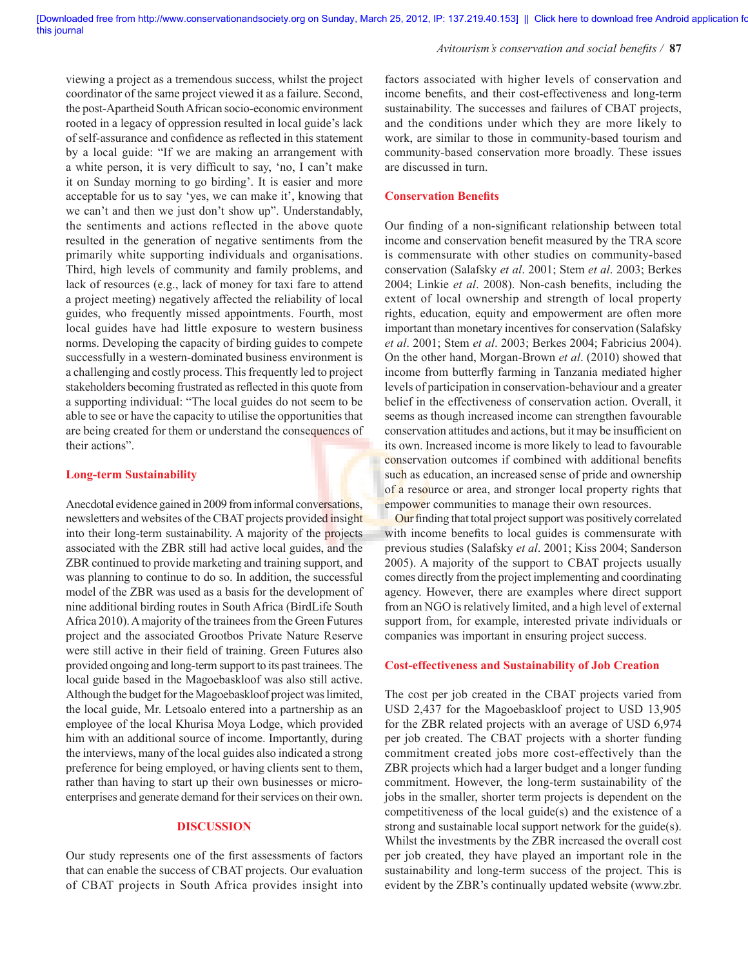#### Avitourism's conservation and social benefits / 87

viewing a project as a tremendous success, whilst the project coordinator of the same project viewed it as a failure. Second, the post-Apartheid South African socio-economic environment rooted in a legacy of oppression resulted in local guide's lack of self-assurance and confidence as reflected in this statement by a local guide: "If we are making an arrangement with a white person, it is very difficult to say, 'no, I can't make it on Sunday morning to go birding'. It is easier and more acceptable for us to say 'yes, we can make it', knowing that we can't and then we just don't show up". Understandably, the sentiments and actions reflected in the above quote resulted in the generation of negative sentiments from the primarily white supporting individuals and organisations. Third, high levels of community and family problems, and lack of resources (e.g., lack of money for taxi fare to attend a project meeting) negatively affected the reliability of local guides, who frequently missed appointments. Fourth, most local guides have had little exposure to western business norms. Developing the capacity of birding guides to compete successfully in a western-dominated business environment is a challenging and costly process. This frequently led to project stakeholders becoming frustrated as reflected in this quote from a supporting individual: "The local guides do not seem to be able to see or have the capacity to utilise the opportunities that are being created for them or understand the consequences of their actions".

#### **Long-term Sustainability**

Anecdotal evidence gained in 2009 from informal conversations, newsletters and websites of the CBAT projects provided insight into their long-term sustainability. A majority of the projects associated with the ZBR still had active local guides, and the ZBR continued to provide marketing and training support, and was planning to continue to do so. In addition, the successful model of the ZBR was used as a basis for the development of nine additional birding routes in South Africa (BirdLife South Africa 2010). A majority of the trainees from the Green Futures project and the associated Grootbos Private Nature Reserve were still active in their field of training. Green Futures also provided ongoing and long-term support to its past trainees. The local guide based in the Magoebaskloof was also still active. Although the budget for the Magoebaskloof project was limited, the local guide, Mr. Letsoalo entered into a partnership as an employee of the local Khurisa Moya Lodge, which provided him with an additional source of income. Importantly, during the interviews, many of the local guides also indicated a strong preference for being employed, or having clients sent to them, rather than having to start up their own businesses or microenterprises and generate demand for their services on their own.

## **DISCUSSION**

Our study represents one of the first assessments of factors that can enable the success of CBAT projects. Our evaluation of CBAT projects in South Africa provides insight into factors associated with higher levels of conservation and income benefits, and their cost-effectiveness and long-term sustainability. The successes and failures of CBAT projects, and the conditions under which they are more likely to work, are similar to those in community-based tourism and community-based conservation more broadly. These issues are discussed in turn.

#### **Conservation Benefits**

Our finding of a non-significant relationship between total income and conservation benefit measured by the TRA score is commensurate with other studies on community-based conservation (Salafsky *et al*. 2001; Stem *et al*. 2003; Berkes 2004; Linkie et al. 2008). Non-cash benefits, including the extent of local ownership and strength of local property rights, education, equity and empowerment are often more important than monetary incentives for conservation (Salafsky *et al*. 2001; Stem *et al*. 2003; Berkes 2004; Fabricius 2004). On the other hand, Morgan-Brown *et al*. (2010) showed that income from butterfly farming in Tanzania mediated higher levels of participation in conservation-behaviour and a greater belief in the effectiveness of conservation action. Overall, it seems as though increased income can strengthen favourable conservation attitudes and actions, but it may be insufficient on its own. Increased income is more likely to lead to favourable conservation outcomes if combined with additional benefits such as education, an increased sense of pride and ownership of a resource or area, and stronger local property rights that empower communities to manage their own resources.

Our finding that total project support was positively correlated with income benefits to local guides is commensurate with previous studies (Salafsky *et al*. 2001; Kiss 2004; Sanderson 2005). A majority of the support to CBAT projects usually comes directly from the project implementing and coordinating agency. However, there are examples where direct support from an NGO is relatively limited, and a high level of external support from, for example, interested private individuals or companies was important in ensuring project success.

#### **Cost-effectiveness and Sustainability of Job Creation**

The cost per job created in the CBAT projects varied from USD 2,437 for the Magoebaskloof project to USD 13,905 for the ZBR related projects with an average of USD 6,974 per job created. The CBAT projects with a shorter funding commitment created jobs more cost-effectively than the ZBR projects which had a larger budget and a longer funding commitment. However, the long-term sustainability of the jobs in the smaller, shorter term projects is dependent on the competitiveness of the local guide(s) and the existence of a strong and sustainable local support network for the guide(s). Whilst the investments by the ZBR increased the overall cost per job created, they have played an important role in the sustainability and long-term success of the project. This is evident by the ZBR's continually updated website (www.zbr.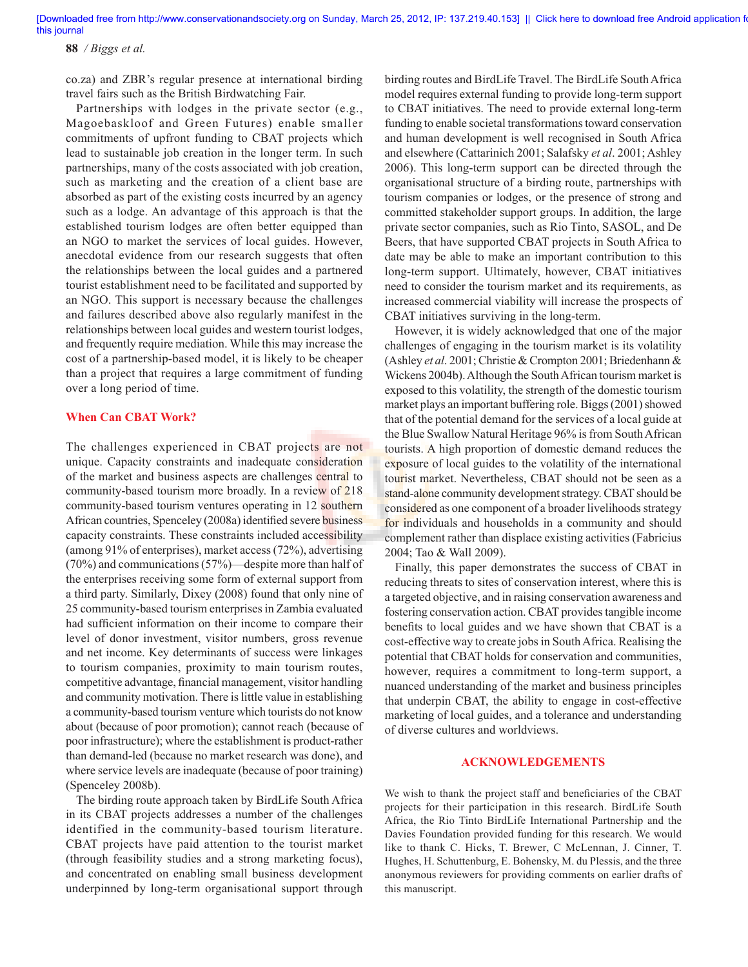**88** */ Biggs et al.*

co.za) and ZBR's regular presence at international birding travel fairs such as the British Birdwatching Fair.

Partnerships with lodges in the private sector (e.g., Magoebaskloof and Green Futures) enable smaller commitments of upfront funding to CBAT projects which lead to sustainable job creation in the longer term. In such partnerships, many of the costs associated with job creation, such as marketing and the creation of a client base are absorbed as part of the existing costs incurred by an agency such as a lodge. An advantage of this approach is that the established tourism lodges are often better equipped than an NGO to market the services of local guides. However, anecdotal evidence from our research suggests that often the relationships between the local guides and a partnered tourist establishment need to be facilitated and supported by an NGO. This support is necessary because the challenges and failures described above also regularly manifest in the relationships between local guides and western tourist lodges, and frequently require mediation. While this may increase the cost of a partnership-based model, it is likely to be cheaper than a project that requires a large commitment of funding over a long period of time.

## **When Can CBAT Work?**

The challenges experienced in CBAT projects are not unique. Capacity constraints and inadequate consideration of the market and business aspects are challenges central to community-based tourism more broadly. In a review of 218 community-based tourism ventures operating in 12 southern African countries, Spenceley (2008a) identified severe business capacity constraints. These constraints included accessibility (among 91% of enterprises), market access (72%), advertising  $(70\%)$  and communications  $(57\%)$ —despite more than half of the enterprises receiving some form of external support from a third party. Similarly, Dixey (2008) found that only nine of 25 community-based tourism enterprises in Zambia evaluated had sufficient information on their income to compare their level of donor investment, visitor numbers, gross revenue and net income. Key determinants of success were linkages to tourism companies, proximity to main tourism routes, competitive advantage, financial management, visitor handling and community motivation. There is little value in establishing a community-based tourism venture which tourists do not know about (because of poor promotion); cannot reach (because of poor infrastructure); where the establishment is product-rather than demand-led (because no market research was done), and where service levels are inadequate (because of poor training) (Spenceley 2008b).

The birding route approach taken by BirdLife South Africa in its CBAT projects addresses a number of the challenges identified in the community-based tourism literature. CBAT projects have paid attention to the tourist market (through feasibility studies and a strong marketing focus), and concentrated on enabling small business development underpinned by long-term organisational support through birding routes and BirdLife Travel. The BirdLife South Africa model requires external funding to provide long-term support to CBAT initiatives. The need to provide external long-term funding to enable societal transformations toward conservation and human development is well recognised in South Africa and elsewhere (Cattarinich 2001; Salafsky *et al*. 2001; Ashley 2006). This long-term support can be directed through the organisational structure of a birding route, partnerships with tourism companies or lodges, or the presence of strong and committed stakeholder support groups. In addition, the large private sector companies, such as Rio Tinto, SASOL, and De Beers, that have supported CBAT projects in South Africa to date may be able to make an important contribution to this long-term support. Ultimately, however, CBAT initiatives need to consider the tourism market and its requirements, as increased commercial viability will increase the prospects of CBAT initiatives surviving in the long-term.

However, it is widely acknowledged that one of the major challenges of engaging in the tourism market is its volatility (Ashley *et al*. 2001; Christie & Crompton 2001; Briedenhann & Wickens 2004b). Although the South African tourism market is exposed to this volatility, the strength of the domestic tourism market plays an important buffering role. Biggs (2001) showed that of the potential demand for the services of a local guide at the Blue Swallow Natural Heritage 96% is from South African tourists. A high proportion of domestic demand reduces the exposure of local guides to the volatility of the international tourist market. Nevertheless, CBAT should not be seen as a stand-alone community development strategy. CBAT should be considered as one component of a broader livelihoods strategy for individuals and households in a community and should complement rather than displace existing activities (Fabricius 2004; Tao & Wall 2009).

Finally, this paper demonstrates the success of CBAT in reducing threats to sites of conservation interest, where this is a targeted objective, and in raising conservation awareness and fostering conservation action. CBAT provides tangible income benefits to local guides and we have shown that CBAT is a cost-effective way to create jobs in South Africa. Realising the potential that CBAT holds for conservation and communities, however, requires a commitment to long-term support, a nuanced understanding of the market and business principles that underpin CBAT, the ability to engage in cost-effective marketing of local guides, and a tolerance and understanding of diverse cultures and worldviews.

## **ACKNOWLEDGEMENTS**

We wish to thank the project staff and beneficiaries of the CBAT projects for their participation in this research. BirdLife South Africa, the Rio Tinto BirdLife International Partnership and the Davies Foundation provided funding for this research. We would like to thank C. Hicks, T. Brewer, C McLennan, J. Cinner, T. Hughes, H. Schuttenburg, E. Bohensky, M. du Plessis, and the three anonymous reviewers for providing comments on earlier drafts of this manuscript.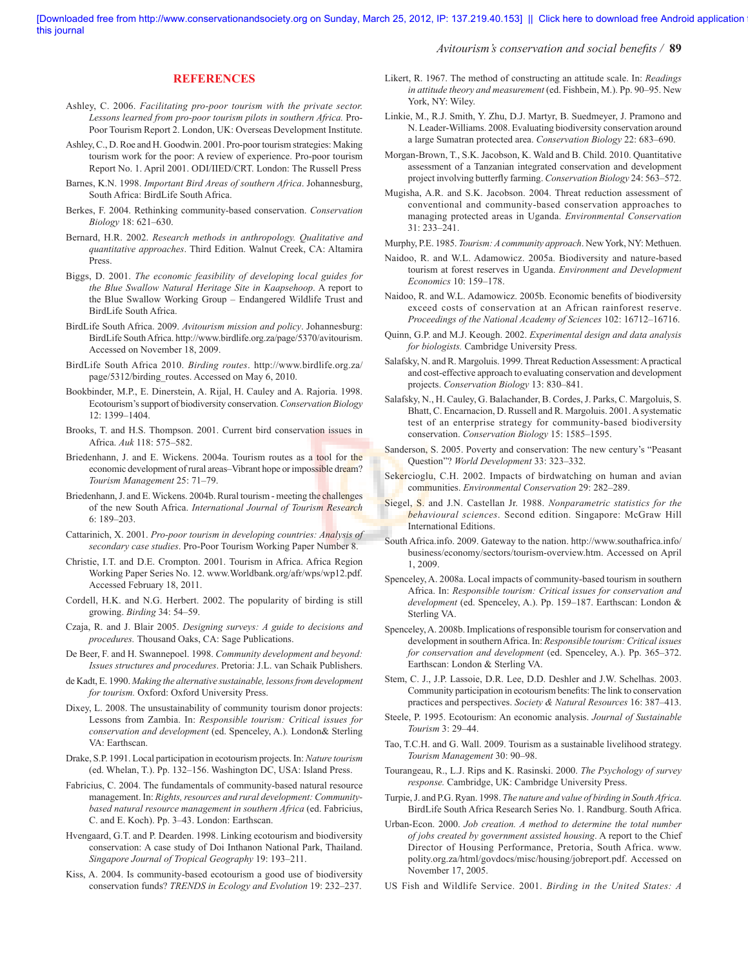Avitourism's conservation and social benefits / **89** 

#### **REFERENCES**

- Ashley, C. 2006. *Facilitating pro-poor tourism with the private sector. Lessons learned from pro-poor tourism pilots in southern Africa.* Pro-Poor Tourism Report 2. London, UK: Overseas Development Institute.
- Ashley, C., D. Roe and H. Goodwin. 2001. Pro-poor tourism strategies: Making tourism work for the poor: A review of experience. Pro-poor tourism Report No. 1. April 2001. ODI/IIED/CRT. London: The Russell Press
- Barnes, K.N. 1998. *Important Bird Areas of southern Africa*. Johannesburg, South Africa: BirdLife South Africa.
- Berkes, F. 2004. Rethinking community-based conservation. *Conservation Biology* 18: 621–630.
- Bernard, H.R. 2002. *Research methods in anthropology. Qualitative and quantitative approaches*. Third Edition. Walnut Creek, CA: Altamira Press.
- Biggs, D. 2001. *The economic feasibility of developing local guides for the Blue Swallow Natural Heritage Site in Kaapsehoop*. A report to the Blue Swallow Working Group – Endangered Wildlife Trust and BirdLife South Africa.
- BirdLife South Africa. 2009. *Avitourism mission and policy*. Johannesburg: BirdLife South Africa. http://www.birdlife.org.za/page/5370/avitourism. Accessed on November 18, 2009.
- BirdLife South Africa 2010. *Birding routes*. http://www.birdlife.org.za/ page/5312/birding\_routes. Accessed on May 6, 2010.
- Bookbinder, M.P., E. Dinerstein, A. Rijal, H. Cauley and A. Rajoria. 1998. Ecotourism's support of biodiversity conservation. *Conservation Biology* 12: 1399–1404.
- Brooks, T. and H.S. Thompson. 2001. Current bird conservation issues in Africa. *Auk* 118: 575–582.
- Briedenhann, J. and E. Wickens. 2004a. Tourism routes as a tool for the economic development of rural areas–Vibrant hope or impossible dream? *Tourism Management* 25: 71–79.
- Briedenhann, J. and E. Wickens. 2004b. Rural tourism meeting the challenges of the new South Africa. *International Journal of Tourism Research* 6: 189–203.
- Cattarinich, X. 2001. *Pro-poor tourism in developing countries: Analysis of secondary case studies*. Pro-Poor Tourism Working Paper Number 8.
- Christie, I.T. and D.E. Crompton. 2001. Tourism in Africa. Africa Region Working Paper Series No. 12. www.Worldbank.org/afr/wps/wp12.pdf. Accessed February 18, 2011.
- Cordell, H.K. and N.G. Herbert. 2002. The popularity of birding is still growing. *Birding* 34: 54–59.
- Czaja, R. and J. Blair 2005. *Designing surveys: A guide to decisions and procedures.* Thousand Oaks, CA: Sage Publications.
- De Beer, F. and H. Swannepoel. 1998. *Community development and beyond: Issues structures and procedures*. Pretoria: J.L. van Schaik Publishers.
- de Kadt, E. 1990. *Making the alternative sustainable, lessons from development for tourism.* Oxford: Oxford University Press.
- Dixey, L. 2008. The unsustainability of community tourism donor projects: Lessons from Zambia. In: *Responsible tourism: Critical issues for conservation and development* (ed. Spenceley, A.)*.* London& Sterling VA: Earthscan.
- Drake, S.P. 1991. Local participation in ecotourism projects. In: *Nature tourism* (ed. Whelan, T.). Pp. 132–156. Washington DC, USA: Island Press.
- Fabricius, C. 2004. The fundamentals of community-based natural resource management. In: *Rights, resources and rural development: Community*based natural resource management in southern Africa (ed. Fabricius, C. and E. Koch). Pp. 3–43. London: Earthscan.
- Hvengaard, G.T. and P. Dearden. 1998. Linking ecotourism and biodiversity conservation: A case study of Doi Inthanon National Park, Thailand. *Singapore Journal of Tropical Geography* 19: 193–211.
- Kiss, A. 2004. Is community-based ecotourism a good use of biodiversity conservation funds? *TRENDS in Ecology and Evolution* 19: 232–237.
- Likert, R. 1967. The method of constructing an attitude scale. In: *Readings in attitude theory and measurement* (ed. Fishbein, M.). Pp. 90–95. New York, NY: Wiley.
- Linkie, M., R.J. Smith, Y. Zhu, D.J. Martyr, B. Suedmeyer, J. Pramono and N. Leader-Williams. 2008. Evaluating biodiversity conservation around a large Sumatran protected area. *Conservation Biology* 22: 683–690.
- Morgan-Brown, T., S.K. Jacobson, K. Wald and B. Child. 2010. Quantitative assessment of a Tanzanian integrated conservation and development project involving butterfly farming. *Conservation Biology* 24: 563-572.
- Mugisha, A.R. and S.K. Jacobson. 2004. Threat reduction assessment of conventional and community-based conservation approaches to managing protected areas in Uganda. *Environmental Conservation* 31: 233–241.
- Murphy, P.E. 1985. *Tourism: A community approach*. New York, NY: Methuen.
- Naidoo, R. and W.L. Adamowicz. 2005a. Biodiversity and nature-based tourism at forest reserves in Uganda. *Environment and Development Economics* 10: 159–178.
- Naidoo, R. and W.L. Adamowicz. 2005b. Economic benefits of biodiversity exceed costs of conservation at an African rainforest reserve. *Proceedings of the National Academy of Sciences* 102: 16712–16716.
- Quinn, G.P. and M.J. Keough. 2002. *Experimental design and data analysis for biologists.* Cambridge University Press.
- Salafsky, N. and R. Margoluis. 1999. Threat Reduction Assessment: A practical and cost-effective approach to evaluating conservation and development projects. *Conservation Biology* 13: 830–841.
- Salafsky, N., H. Cauley, G. Balachander, B. Cordes, J. Parks, C. Margoluis, S. Bhatt, C. Encarnacion, D. Russell and R. Margoluis. 2001. A systematic test of an enterprise strategy for community-based biodiversity conservation. *Conservation Biology* 15: 1585–1595.
- Sanderson, S. 2005. Poverty and conservation: The new century's "Peasant Question"? *World Development* 33: 323–332.
- Sekercioglu, C.H. 2002. Impacts of birdwatching on human and avian communities. *Environmental Conservation* 29: 282–289.
- Siegel, S. and J.N. Castellan Jr. 1988. *Nonparametric statistics for the behavioural sciences*. Second edition. Singapore: McGraw Hill International Editions.
- South Africa.info. 2009. Gateway to the nation. http://www.southafrica.info/ business/economy/sectors/tourism-overview.htm. Accessed on April 1, 2009.
- Spenceley, A. 2008a. Local impacts of community-based tourism in southern Africa. In: *Responsible tourism: Critical issues for conservation and development* (ed. Spenceley, A.). Pp. 159–187. Earthscan: London & Sterling VA.
- Spenceley, A. 2008b. Implications of responsible tourism for conservation and development in southern Africa. In: *Responsible tourism: Critical issues for conservation and development* (ed. Spenceley, A.). Pp. 365–372. Earthscan: London & Sterling VA.
- Stem, C. J., J.P. Lassoie, D.R. Lee, D.D. Deshler and J.W. Schelhas. 2003. Community participation in ecotourism benefits: The link to conservation practices and perspectives. *Society & Natural Resources* 16: 387–413.
- Steele, P. 1995. Ecotourism: An economic analysis. *Journal of Sustainable Tourism* 3: 29–44.
- Tao, T.C.H. and G. Wall. 2009. Tourism as a sustainable livelihood strategy. *Tourism Management* 30: 90–98.
- Tourangeau, R., L.J. Rips and K. Rasinski. 2000. *The Psychology of survey response.* Cambridge, UK: Cambridge University Press.
- Turpie, J. and P.G. Ryan. 1998. *The nature and value of birding in South Africa*. BirdLife South Africa Research Series No. 1. Randburg. South Africa.
- Urban-Econ. 2000. *Job creation. A method to determine the total number of jobs created by government assisted housing*. A report to the Chief Director of Housing Performance, Pretoria, South Africa. www. polity.org.za/html/govdocs/misc/housing/jobreport.pdf. Accessed on November 17, 2005.
- US Fish and Wildlife Service. 2001. *Birding in the United States: A*